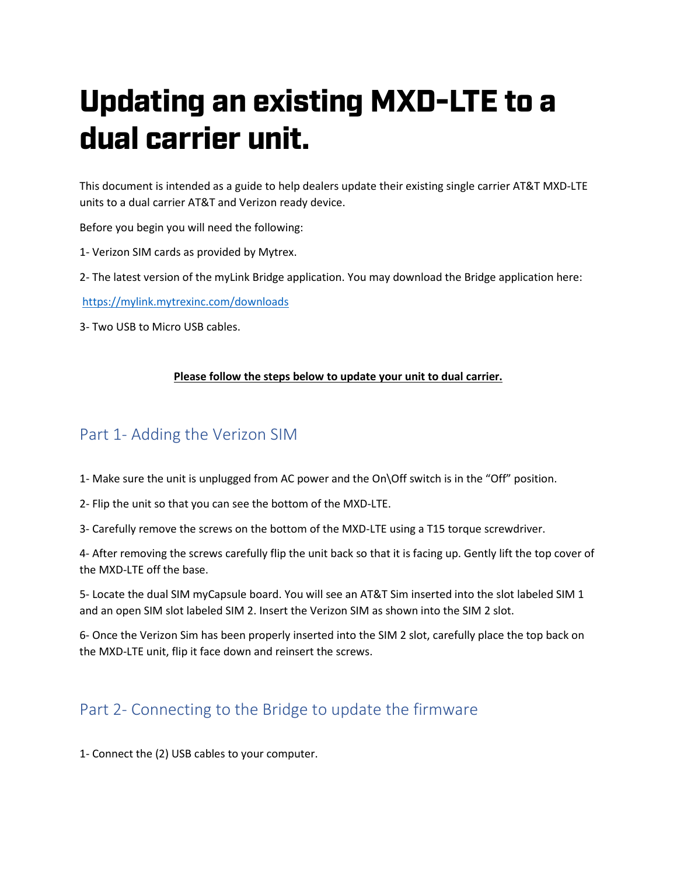# Updating an existing MXD-LTE to a dual carrier unit.

This document is intended as a guide to help dealers update their existing single carrier AT&T MXD-LTE units to a dual carrier AT&T and Verizon ready device.

Before you begin you will need the following:

- 1- Verizon SIM cards as provided by Mytrex.
- 2- The latest version of the myLink Bridge application. You may download the Bridge application here:

<https://mylink.mytrexinc.com/downloads>

3- Two USB to Micro USB cables.

#### **Please follow the steps below to update your unit to dual carrier.**

### Part 1- Adding the Verizon SIM

- 1- Make sure the unit is unplugged from AC power and the On\Off switch is in the "Off" position.
- 2- Flip the unit so that you can see the bottom of the MXD-LTE.
- 3- Carefully remove the screws on the bottom of the MXD-LTE using a T15 torque screwdriver.

4- After removing the screws carefully flip the unit back so that it is facing up. Gently lift the top cover of the MXD-LTE off the base.

5- Locate the dual SIM myCapsule board. You will see an AT&T Sim inserted into the slot labeled SIM 1 and an open SIM slot labeled SIM 2. Insert the Verizon SIM as shown into the SIM 2 slot.

6- Once the Verizon Sim has been properly inserted into the SIM 2 slot, carefully place the top back on the MXD-LTE unit, flip it face down and reinsert the screws.

## Part 2- Connecting to the Bridge to update the firmware

1- Connect the (2) USB cables to your computer.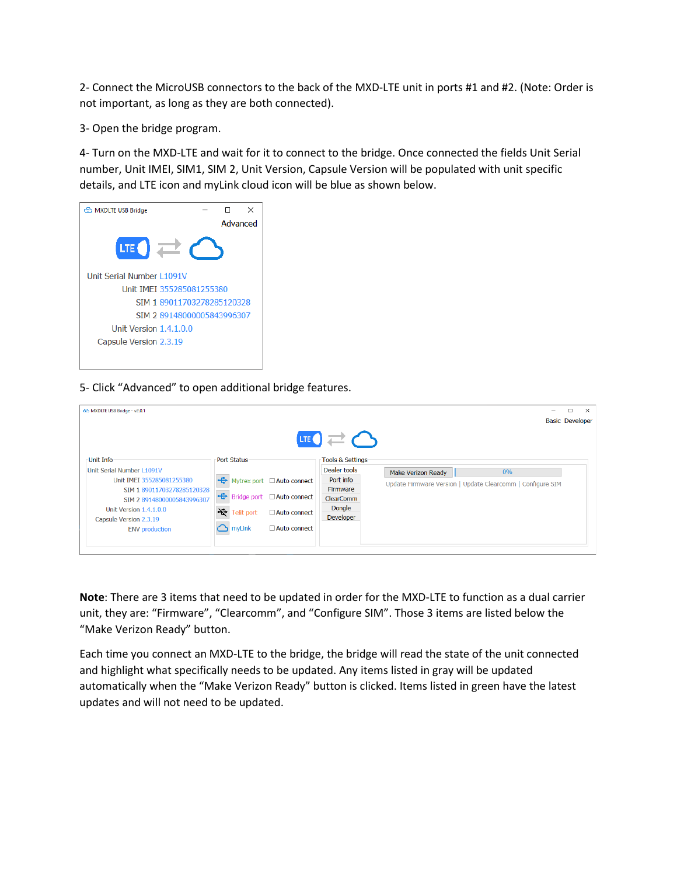2- Connect the MicroUSB connectors to the back of the MXD-LTE unit in ports #1 and #2. (Note: Order is not important, as long as they are both connected).

3- Open the bridge program.

4- Turn on the MXD-LTE and wait for it to connect to the bridge. Once connected the fields Unit Serial number, Unit IMEI, SIM1, SIM 2, Unit Version, Capsule Version will be populated with unit specific details, and LTE icon and myLink cloud icon will be blue as shown below.



#### 5- Click "Advanced" to open additional bridge features.

| MXDLTE USB Bridge - v2.0.1 |                                        |                            |                                     |                           |                                                            | $\Box$<br><b>Basic Developer</b> | $\times$ |
|----------------------------|----------------------------------------|----------------------------|-------------------------------------|---------------------------|------------------------------------------------------------|----------------------------------|----------|
|                            |                                        |                            | $\text{H}$ $\Rightarrow$ $\bigcirc$ |                           |                                                            |                                  |          |
| Unit Info                  | <b>Port Status</b>                     |                            | <b>Tools &amp; Settings</b>         |                           |                                                            |                                  |          |
| Unit Serial Number L1091V  |                                        |                            | Dealer tools                        | <b>Make Verizon Ready</b> | 0%                                                         |                                  |          |
| Unit IMEI 355285081255380  | ÷                                      | Mytrex port □ Auto connect | Port info                           |                           | Update Firmware Version   Update Clearcomm   Configure SIM |                                  |          |
| SIM 189011703278285120328  |                                        |                            | Firmware                            |                           |                                                            |                                  |          |
| SIM 2 89148000005843996307 | $\left  \bigoplus \right $ Bridge port | Auto connect               | <b>ClearComm</b>                    |                           |                                                            |                                  |          |
| Unit Version 1.4.1.0.0     | グ<br><b>Telit port</b>                 | □ Auto connect             | Dongle                              |                           |                                                            |                                  |          |
| Capsule Version 2.3.19     |                                        |                            | <b>Developer</b>                    |                           |                                                            |                                  |          |
| <b>ENV</b> production      | myLink                                 | $\Box$ Auto connect        |                                     |                           |                                                            |                                  |          |
|                            |                                        |                            |                                     |                           |                                                            |                                  |          |
|                            |                                        |                            |                                     |                           |                                                            |                                  |          |

**Note**: There are 3 items that need to be updated in order for the MXD-LTE to function as a dual carrier unit, they are: "Firmware", "Clearcomm", and "Configure SIM". Those 3 items are listed below the "Make Verizon Ready" button.

Each time you connect an MXD-LTE to the bridge, the bridge will read the state of the unit connected and highlight what specifically needs to be updated. Any items listed in gray will be updated automatically when the "Make Verizon Ready" button is clicked. Items listed in green have the latest updates and will not need to be updated.